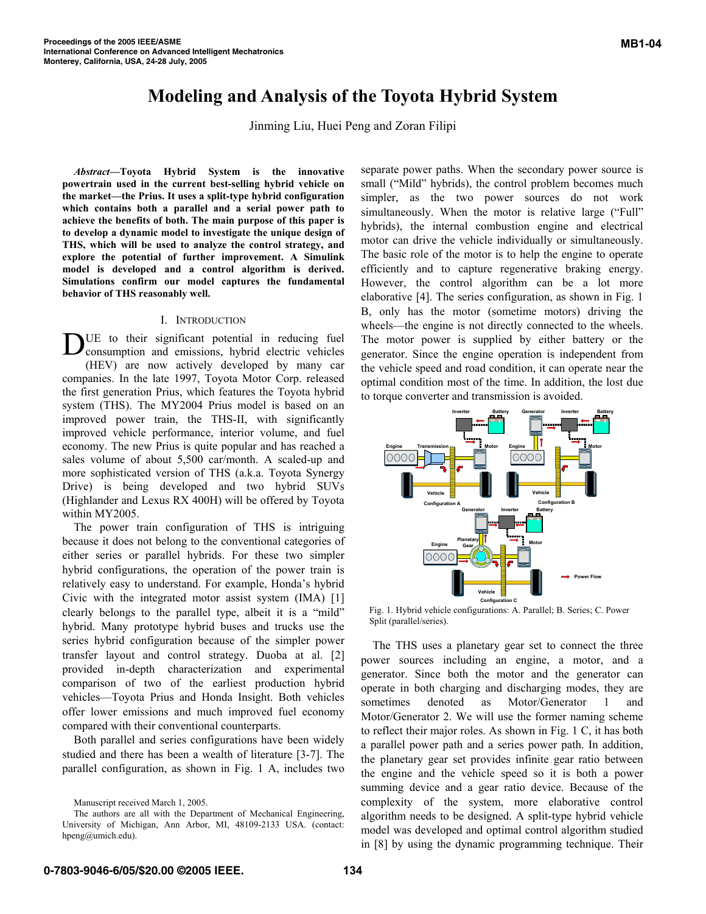Jinming Liu, Huei Peng and Zoran Filipi

*Abstract***—Toyota Hybrid System is the innovative powertrain used in the current best-selling hybrid vehicle on the market—the Prius. It uses a split-type hybrid configuration which contains both a parallel and a serial power path to achieve the benefits of both. The main purpose of this paper is to develop a dynamic model to investigate the unique design of THS, which will be used to analyze the control strategy, and explore the potential of further improvement. A Simulink model is developed and a control algorithm is derived. Simulations confirm our model captures the fundamental behavior of THS reasonably well.**

## I. INTRODUCTION

UE to their significant potential in reducing fuel consumption and emissions, hybrid electric vehicles (HEV) are now actively developed by many car companies. In the late 1997, Toyota Motor Corp. released the first generation Prius, which features the Toyota hybrid system (THS). The MY2004 Prius model is based on an improved power train, the THS-II, with significantly improved vehicle performance, interior volume, and fuel economy. The new Prius is quite popular and has reached a sales volume of about 5,500 car/month. A scaled-up and more sophisticated version of THS (a.k.a. Toyota Synergy Drive) is being developed and two hybrid SUVs (Highlander and Lexus RX 400H) will be offered by Toyota within MY2005. D

The power train configuration of THS is intriguing because it does not belong to the conventional categories of either series or parallel hybrids. For these two simpler hybrid configurations, the operation of the power train is relatively easy to understand. For example, Honda's hybrid Civic with the integrated motor assist system (IMA) [1] clearly belongs to the parallel type, albeit it is a "mild" hybrid. Many prototype hybrid buses and trucks use the series hybrid configuration because of the simpler power transfer layout and control strategy. Duoba at al. [2] provided in-depth characterization and experimental comparison of two of the earliest production hybrid vehicles—Toyota Prius and Honda Insight. Both vehicles offer lower emissions and much improved fuel economy compared with their conventional counterparts.

Both parallel and series configurations have been widely studied and there has been a wealth of literature [3-7]. The parallel configuration, as shown in Fig. 1 A, includes two

separate power paths. When the secondary power source is small ("Mild" hybrids), the control problem becomes much simpler, as the two power sources do not work simultaneously. When the motor is relative large ("Full" hybrids), the internal combustion engine and electrical motor can drive the vehicle individually or simultaneously. The basic role of the motor is to help the engine to operate efficiently and to capture regenerative braking energy. However, the control algorithm can be a lot more elaborative [4]. The series configuration, as shown in Fig. 1 B, only has the motor (sometime motors) driving the wheels—the engine is not directly connected to the wheels. The motor power is supplied by either battery or the generator. Since the engine operation is independent from the vehicle speed and road condition, it can operate near the optimal condition most of the time. In addition, the lost due to torque converter and transmission is avoided.



Fig. 1. Hybrid vehicle configurations: A. Parallel; B. Series; C. Power Split (parallel/series).

The THS uses a planetary gear set to connect the three power sources including an engine, a motor, and a generator. Since both the motor and the generator can operate in both charging and discharging modes, they are sometimes denoted as Motor/Generator 1 and Motor/Generator 2. We will use the former naming scheme to reflect their major roles. As shown in Fig. 1 C, it has both a parallel power path and a series power path. In addition, the planetary gear set provides infinite gear ratio between the engine and the vehicle speed so it is both a power summing device and a gear ratio device. Because of the complexity of the system, more elaborative control algorithm needs to be designed. A split-type hybrid vehicle model was developed and optimal control algorithm studied in [8] by using the dynamic programming technique. Their

Manuscript received March 1, 2005.

The authors are all with the Department of Mechanical Engineering, University of Michigan, Ann Arbor, MI, 48109-2133 USA. (contact: hpeng@umich.edu).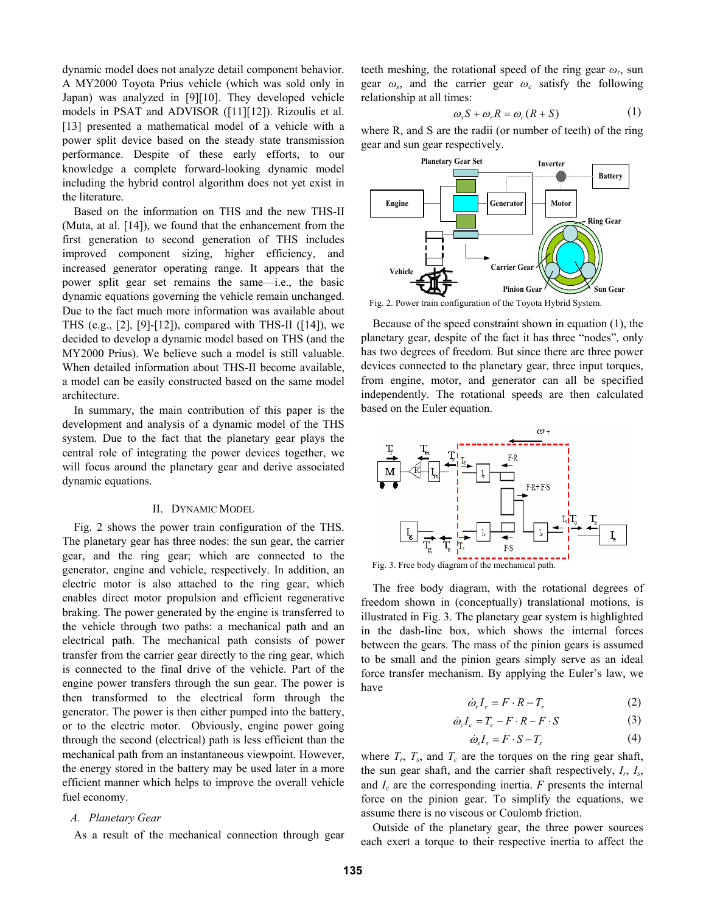dynamic model does not analyze detail component behavior. A MY2000 Toyota Prius vehicle (which was sold only in Japan) was analyzed in [9][10]. They developed vehicle models in PSAT and ADVISOR ([11][12]). Rizoulis et al. [13] presented a mathematical model of a vehicle with a power split device based on the steady state transmission performance. Despite of these early efforts, to our knowledge a complete forward-looking dynamic model including the hybrid control algorithm does not yet exist in the literature.

Based on the information on THS and the new THS-II (Muta, at al. [14]), we found that the enhancement from the first generation to second generation of THS includes improved component sizing, higher efficiency, and increased generator operating range. It appears that the power split gear set remains the same—i.e., the basic dynamic equations governing the vehicle remain unchanged. Due to the fact much more information was available about THS (e.g., [2], [9]-[12]), compared with THS-II ([14]), we decided to develop a dynamic model based on THS (and the MY2000 Prius). We believe such a model is still valuable. When detailed information about THS-II become available, a model can be easily constructed based on the same model architecture.

In summary, the main contribution of this paper is the development and analysis of a dynamic model of the THS system. Due to the fact that the planetary gear plays the central role of integrating the power devices together, we will focus around the planetary gear and derive associated dynamic equations.

#### II. DYNAMIC MODEL

Fig. 2 shows the power train configuration of the THS. The planetary gear has three nodes: the sun gear, the carrier gear, and the ring gear; which are connected to the generator, engine and vehicle, respectively. In addition, an electric motor is also attached to the ring gear, which enables direct motor propulsion and efficient regenerative braking. The power generated by the engine is transferred to the vehicle through two paths: a mechanical path and an electrical path. The mechanical path consists of power transfer from the carrier gear directly to the ring gear, which is connected to the final drive of the vehicle. Part of the engine power transfers through the sun gear. The power is then transformed to the electrical form through the generator. The power is then either pumped into the battery, or to the electric motor. Obviously, engine power going through the second (electrical) path is less efficient than the mechanical path from an instantaneous viewpoint. However, the energy stored in the battery may be used later in a more efficient manner which helps to improve the overall vehicle fuel economy.

#### *A. Planetary Gear*

As a result of the mechanical connection through gear

teeth meshing, the rotational speed of the ring gear  $\omega_r$ , sun gear  $\omega_s$ , and the carrier gear  $\omega_c$  satisfy the following relationship at all times:

$$
\omega_s S + \omega_r R = \omega_c (R + S) \tag{1}
$$

where R, and S are the radii (or number of teeth) of the ring gear and sun gear respectively.



Fig. 2. Power train configuration of the Toyota Hybrid System.

Because of the speed constraint shown in equation (1), the planetary gear, despite of the fact it has three "nodes", only has two degrees of freedom. But since there are three power devices connected to the planetary gear, three input torques, from engine, motor, and generator can all be specified independently. The rotational speeds are then calculated based on the Euler equation.



The free body diagram, with the rotational degrees of freedom shown in (conceptually) translational motions, is illustrated in Fig. 3. The planetary gear system is highlighted in the dash-line box, which shows the internal forces between the gears. The mass of the pinion gears is assumed to be small and the pinion gears simply serve as an ideal force transfer mechanism. By applying the Euler's law, we have

$$
\dot{\omega}_r I_r = F \cdot R - T_r \tag{2}
$$

$$
\dot{\omega}_c I_c = T_c - F \cdot R - F \cdot S \tag{3}
$$

$$
\dot{\omega}_s I_s = F \cdot S - T_s \tag{4}
$$

where  $T_r$ ,  $T_s$ , and  $T_c$  are the torques on the ring gear shaft, the sun gear shaft, and the carrier shaft respectively, *Ir*, *Is*, and *Ic* are the corresponding inertia. *F* presents the internal force on the pinion gear. To simplify the equations, we assume there is no viscous or Coulomb friction.

Outside of the planetary gear, the three power sources each exert a torque to their respective inertia to affect the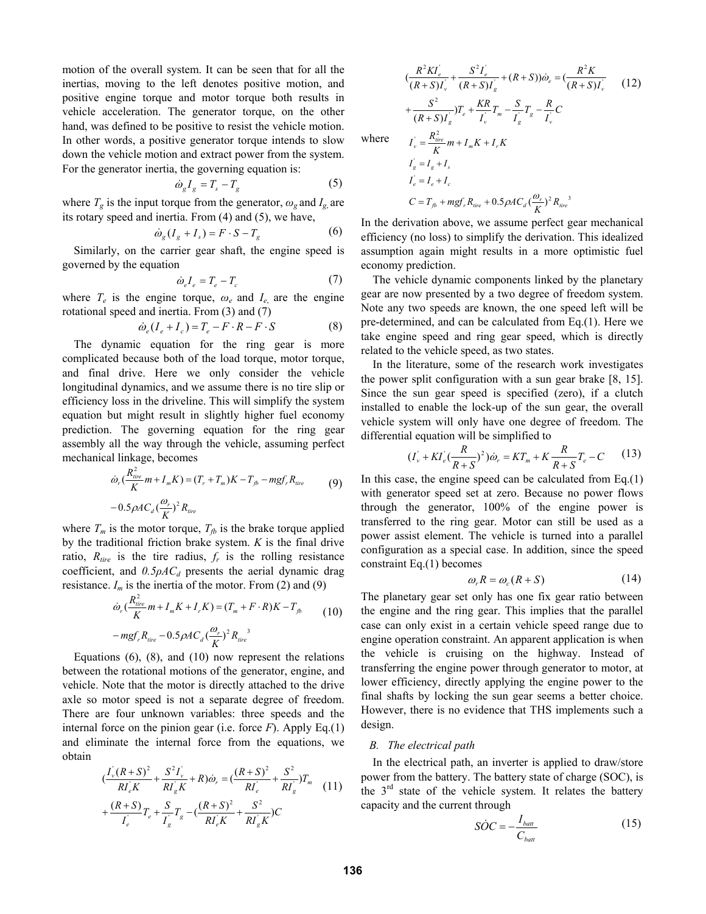motion of the overall system. It can be seen that for all the inertias, moving to the left denotes positive motion, and positive engine torque and motor torque both results in vehicle acceleration. The generator torque, on the other hand, was defined to be positive to resist the vehicle motion. In other words, a positive generator torque intends to slow down the vehicle motion and extract power from the system. For the generator inertia, the governing equation is:

$$
\dot{\omega}_g I_g = T_s - T_g \tag{5}
$$

where  $T_g$  is the input torque from the generator,  $\omega_g$  and  $I_g$  are its rotary speed and inertia. From (4) and (5), we have,

$$
\dot{\omega}_g(I_g + I_s) = F \cdot S - T_g \tag{6}
$$

Similarly, on the carrier gear shaft, the engine speed is governed by the equation

$$
\dot{\omega}_e I_e = T_e - T_c \tag{7}
$$

where  $T_e$  is the engine torque,  $\omega_e$  and  $I_{e}$  are the engine rotational speed and inertia. From (3) and (7)

$$
\dot{\omega}_e(I_e + I_c) = T_e - F \cdot R - F \cdot S \tag{8}
$$

The dynamic equation for the ring gear is more complicated because both of the load torque, motor torque, and final drive. Here we only consider the vehicle longitudinal dynamics, and we assume there is no tire slip or efficiency loss in the driveline. This will simplify the system equation but might result in slightly higher fuel economy prediction. The governing equation for the ring gear assembly all the way through the vehicle, assuming perfect mechanical linkage, becomes

$$
\dot{\omega}_r \left( \frac{R_{\text{ire}}^2}{K} m + I_m K \right) = (T_r + T_m)K - T_{fb} - mgf_r R_{\text{ire}}
$$
\n
$$
-0.5 \rho A C_d \left( \frac{\omega_r}{K} \right)^2 R_{\text{ire}}
$$
\n(9)

where  $T_m$  is the motor torque,  $T_{fb}$  is the brake torque applied by the traditional friction brake system. *K* is the final drive ratio,  $R_{\text{tire}}$  is the tire radius,  $f_r$  is the rolling resistance coefficient, and  $0.5 \rho A C_d$  presents the aerial dynamic drag resistance.  $I_m$  is the inertia of the motor. From (2) and (9)

$$
\dot{\omega}_r \left( \frac{R_{\text{line}}^2}{K} m + I_m K + I_r K \right) = (T_m + F \cdot R) K - T_{fb} \tag{10}
$$
\n
$$
- m g f_r R_{\text{line}} - 0.5 \rho A C_d \left( \frac{\omega_r}{K} \right)^2 R_{\text{line}}^3
$$

Equations  $(6)$ ,  $(8)$ , and  $(10)$  now represent the relations between the rotational motions of the generator, engine, and vehicle. Note that the motor is directly attached to the drive axle so motor speed is not a separate degree of freedom. There are four unknown variables: three speeds and the internal force on the pinion gear (i.e. force  $F$ ). Apply Eq.(1) and eliminate the internal force from the equations, we obtain

$$
\begin{aligned} &\big(\frac{I_v(R+S)^2}{RI_eK} + \frac{S^2I_v}{RI_gK} + R\big)\dot{\omega}_r = \big(\frac{(R+S)^2}{RI_e} + \frac{S^2}{RI_g}\big)T_m \\ &+ \frac{(R+S)}{I_e}T_e + \frac{S}{I_g}T_g - \big(\frac{(R+S)^2}{RI_eK} + \frac{S^2}{RI_gK}\big)C \end{aligned} \tag{11}
$$

$$
\left(\frac{R^2KI_e^j}{(R+S)I_v^j} + \frac{S^2I_e^j}{(R+S)I_g^j} + (R+S)\right)\dot{\omega}_e = \left(\frac{R^2K}{(R+S)I_v^j} - (12)\right)
$$
  
+ 
$$
\frac{S^2}{(R+S)I_g^j}T_e + \frac{KR}{I_v^j}T_m - \frac{S}{I_g^j}T_g - \frac{R}{I_v^j}C
$$
  
where 
$$
I_v^i = \frac{R_{ave}^2}{K}m + I_mK + I_rK
$$

$$
I_g^i = I_g + I_s
$$

$$
I_e = I_e + I_c
$$
  
\n
$$
C = T_{fb} + mgf_r R_{\text{tire}} + 0.5 \rho A C_d \left(\frac{\omega_r}{K}\right)^2 R_{\text{tire}}^3
$$

In the derivation above, we assume perfect gear mechanical efficiency (no loss) to simplify the derivation. This idealized assumption again might results in a more optimistic fuel economy prediction.

The vehicle dynamic components linked by the planetary gear are now presented by a two degree of freedom system. Note any two speeds are known, the one speed left will be pre-determined, and can be calculated from Eq.(1). Here we take engine speed and ring gear speed, which is directly related to the vehicle speed, as two states.

In the literature, some of the research work investigates the power split configuration with a sun gear brake [8, 15]. Since the sun gear speed is specified (zero), if a clutch installed to enable the lock-up of the sun gear, the overall vehicle system will only have one degree of freedom. The differential equation will be simplified to

$$
(I_v^{\dagger} + K I_e^{\dagger} \left(\frac{R}{R+S}\right)^2) \dot{\omega}_r = KT_m + K \frac{R}{R+S} T_e - C \qquad (13)
$$

In this case, the engine speed can be calculated from Eq.(1) with generator speed set at zero. Because no power flows through the generator, 100% of the engine power is transferred to the ring gear. Motor can still be used as a power assist element. The vehicle is turned into a parallel configuration as a special case. In addition, since the speed constraint Eq.(1) becomes

$$
\omega_r R = \omega_c (R + S) \tag{14}
$$

The planetary gear set only has one fix gear ratio between the engine and the ring gear. This implies that the parallel case can only exist in a certain vehicle speed range due to engine operation constraint. An apparent application is when the vehicle is cruising on the highway. Instead of transferring the engine power through generator to motor, at lower efficiency, directly applying the engine power to the final shafts by locking the sun gear seems a better choice. However, there is no evidence that THS implements such a design.

## *B. The electrical path*

In the electrical path, an inverter is applied to draw/store power from the battery. The battery state of charge (SOC), is the  $3<sup>rd</sup>$  state of the vehicle system. It relates the battery capacity and the current through

$$
\dot{SOC} = -\frac{I_{batt}}{C_{batt}}\tag{15}
$$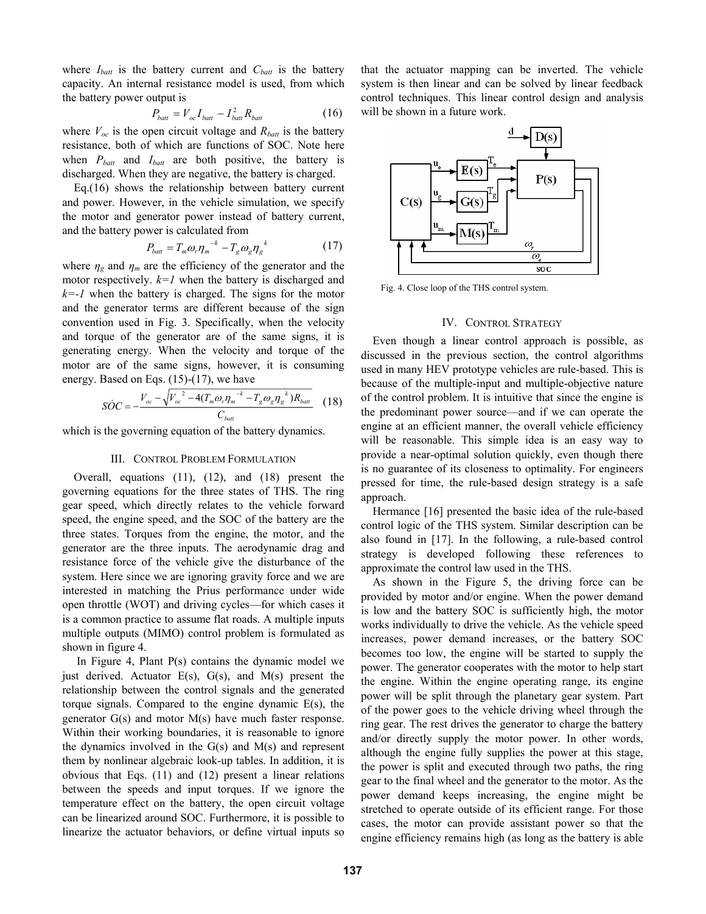where  $I_{batt}$  is the battery current and  $C_{batt}$  is the battery capacity. An internal resistance model is used, from which the battery power output is

$$
P_{\text{batt}} = V_{\text{oc}} I_{\text{batt}} - I_{\text{batt}}^2 R_{\text{batt}} \tag{16}
$$

where  $V_{oc}$  is the open circuit voltage and  $R_{batt}$  is the battery resistance, both of which are functions of SOC. Note here when  $P_{batt}$  and  $I_{batt}$  are both positive, the battery is discharged. When they are negative, the battery is charged.

Eq.(16) shows the relationship between battery current and power. However, in the vehicle simulation, we specify the motor and generator power instead of battery current, and the battery power is calculated from

$$
P_{\text{batt}} = T_m \omega_r \eta_m^{-k} - T_g \omega_g \eta_g^{-k} \tag{17}
$$

where  $\eta_g$  and  $\eta_m$  are the efficiency of the generator and the motor respectively.  $k=1$  when the battery is discharged and  $k=-1$  when the battery is charged. The signs for the motor and the generator terms are different because of the sign convention used in Fig. 3. Specifically, when the velocity and torque of the generator are of the same signs, it is generating energy. When the velocity and torque of the motor are of the same signs, however, it is consuming energy. Based on Eqs. (15)-(17), we have

$$
SOC = -\frac{V_{oc} - \sqrt{{V_{oc}}^2 - 4(T_m\omega_r\eta_m^{-k} - T_g\omega_g\eta_g^{k})R_{batt}}}{C_{batt}} \quad (18)
$$

which is the governing equation of the battery dynamics.

# III. CONTROL PROBLEM FORMULATION

Overall, equations (11), (12), and (18) present the governing equations for the three states of THS. The ring gear speed, which directly relates to the vehicle forward speed, the engine speed, and the SOC of the battery are the three states. Torques from the engine, the motor, and the generator are the three inputs. The aerodynamic drag and resistance force of the vehicle give the disturbance of the system. Here since we are ignoring gravity force and we are interested in matching the Prius performance under wide open throttle (WOT) and driving cycles—for which cases it is a common practice to assume flat roads. A multiple inputs multiple outputs (MIMO) control problem is formulated as shown in figure 4.

In Figure 4, Plant  $P(s)$  contains the dynamic model we just derived. Actuator  $E(s)$ ,  $G(s)$ , and  $M(s)$  present the relationship between the control signals and the generated torque signals. Compared to the engine dynamic  $E(s)$ , the generator G(s) and motor M(s) have much faster response. Within their working boundaries, it is reasonable to ignore the dynamics involved in the  $G(s)$  and  $M(s)$  and represent them by nonlinear algebraic look-up tables. In addition, it is obvious that Eqs. (11) and (12) present a linear relations between the speeds and input torques. If we ignore the temperature effect on the battery, the open circuit voltage can be linearized around SOC. Furthermore, it is possible to linearize the actuator behaviors, or define virtual inputs so

that the actuator mapping can be inverted. The vehicle system is then linear and can be solved by linear feedback control techniques. This linear control design and analysis will be shown in a future work.



Fig. 4. Close loop of the THS control system.

### IV. CONTROL STRATEGY

Even though a linear control approach is possible, as discussed in the previous section, the control algorithms used in many HEV prototype vehicles are rule-based. This is because of the multiple-input and multiple-objective nature of the control problem. It is intuitive that since the engine is the predominant power source—and if we can operate the engine at an efficient manner, the overall vehicle efficiency will be reasonable. This simple idea is an easy way to provide a near-optimal solution quickly, even though there is no guarantee of its closeness to optimality. For engineers pressed for time, the rule-based design strategy is a safe approach.

Hermance [16] presented the basic idea of the rule-based control logic of the THS system. Similar description can be also found in [17]. In the following, a rule-based control strategy is developed following these references to approximate the control law used in the THS.

As shown in the Figure 5, the driving force can be provided by motor and/or engine. When the power demand is low and the battery SOC is sufficiently high, the motor works individually to drive the vehicle. As the vehicle speed increases, power demand increases, or the battery SOC becomes too low, the engine will be started to supply the power. The generator cooperates with the motor to help start the engine. Within the engine operating range, its engine power will be split through the planetary gear system. Part of the power goes to the vehicle driving wheel through the ring gear. The rest drives the generator to charge the battery and/or directly supply the motor power. In other words, although the engine fully supplies the power at this stage, the power is split and executed through two paths, the ring gear to the final wheel and the generator to the motor. As the power demand keeps increasing, the engine might be stretched to operate outside of its efficient range. For those cases, the motor can provide assistant power so that the engine efficiency remains high (as long as the battery is able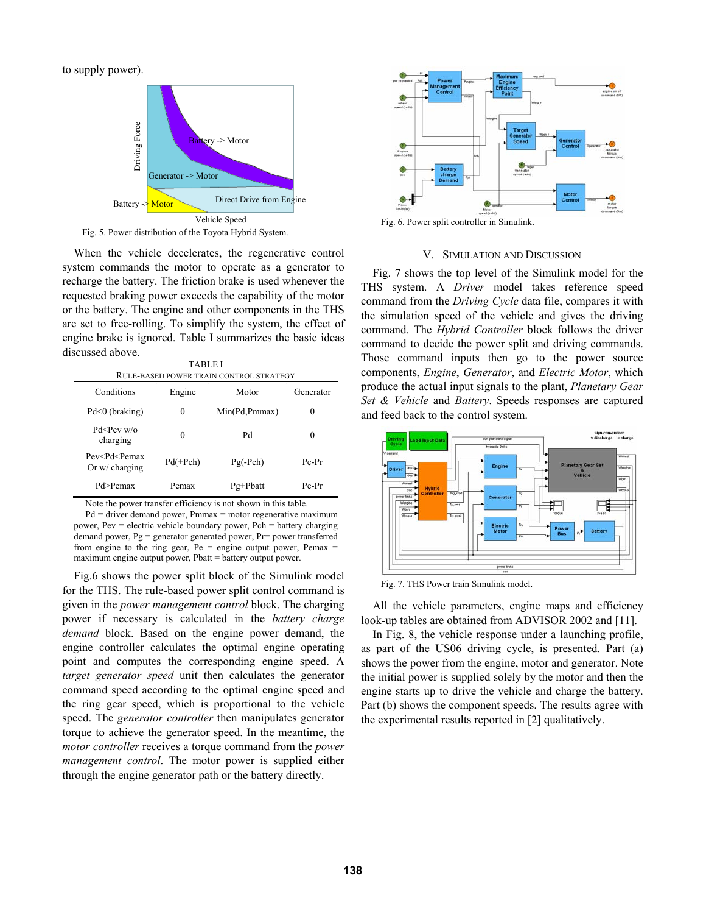to supply power).



Fig. 5. Power distribution of the Toyota Hybrid System.

When the vehicle decelerates, the regenerative control system commands the motor to operate as a generator to recharge the battery. The friction brake is used whenever the requested braking power exceeds the capability of the motor or the battery. The engine and other components in the THS are set to free-rolling. To simplify the system, the effect of engine brake is ignored. Table I summarizes the basic ideas discussed above.

| <b>TABLEI</b><br><b>RULE-BASED POWER TRAIN CONTROL STRATEGY</b> |            |               |           |  |  |
|-----------------------------------------------------------------|------------|---------------|-----------|--|--|
| Conditions                                                      | Engine     | Motor         | Generator |  |  |
| $Pd<0$ (braking)                                                | 0          | Min(Pd,Pmmax) | 0         |  |  |
| $Pd < Pev$ w/o<br>charging                                      | 0          | Pd            | 0         |  |  |
| Pev <pd<pemax<br>Or <math>w</math> charging</pd<pemax<br>       | $Pd(+Pch)$ | $Pg(-Pch)$    | $Pe-Pr$   |  |  |
| Pd>Pemax                                                        | Pemax      | $Pg+Pbatt$    | $Pe-Pr$   |  |  |

Note the power transfer efficiency is not shown in this table.

Pd = driver demand power, Pmmax = motor regenerative maximum power, Pev = electric vehicle boundary power, Pch = battery charging demand power, Pg = generator generated power, Pr= power transferred from engine to the ring gear,  $Pe =$  engine output power, Pemax = maximum engine output power, Pbatt = battery output power.

Fig.6 shows the power split block of the Simulink model for the THS. The rule-based power split control command is given in the *power management control* block. The charging power if necessary is calculated in the *battery charge demand* block. Based on the engine power demand, the engine controller calculates the optimal engine operating point and computes the corresponding engine speed. A *target generator speed* unit then calculates the generator command speed according to the optimal engine speed and the ring gear speed, which is proportional to the vehicle speed. The *generator controller* then manipulates generator torque to achieve the generator speed. In the meantime, the *motor controller* receives a torque command from the *power management control*. The motor power is supplied either through the engine generator path or the battery directly.



Fig. 6. Power split controller in Simulink.

### V. SIMULATION AND DISCUSSION

Fig. 7 shows the top level of the Simulink model for the THS system. A *Driver* model takes reference speed command from the *Driving Cycle* data file, compares it with the simulation speed of the vehicle and gives the driving command. The *Hybrid Controller* block follows the driver command to decide the power split and driving commands. Those command inputs then go to the power source components, *Engine*, *Generator*, and *Electric Motor*, which produce the actual input signals to the plant, *Planetary Gear Set & Vehicle* and *Battery*. Speeds responses are captured and feed back to the control system.



Fig. 7. THS Power train Simulink model.

All the vehicle parameters, engine maps and efficiency look-up tables are obtained from ADVISOR 2002 and [11].

In Fig. 8, the vehicle response under a launching profile, as part of the US06 driving cycle, is presented. Part (a) shows the power from the engine, motor and generator. Note the initial power is supplied solely by the motor and then the engine starts up to drive the vehicle and charge the battery. Part (b) shows the component speeds. The results agree with the experimental results reported in [2] qualitatively.